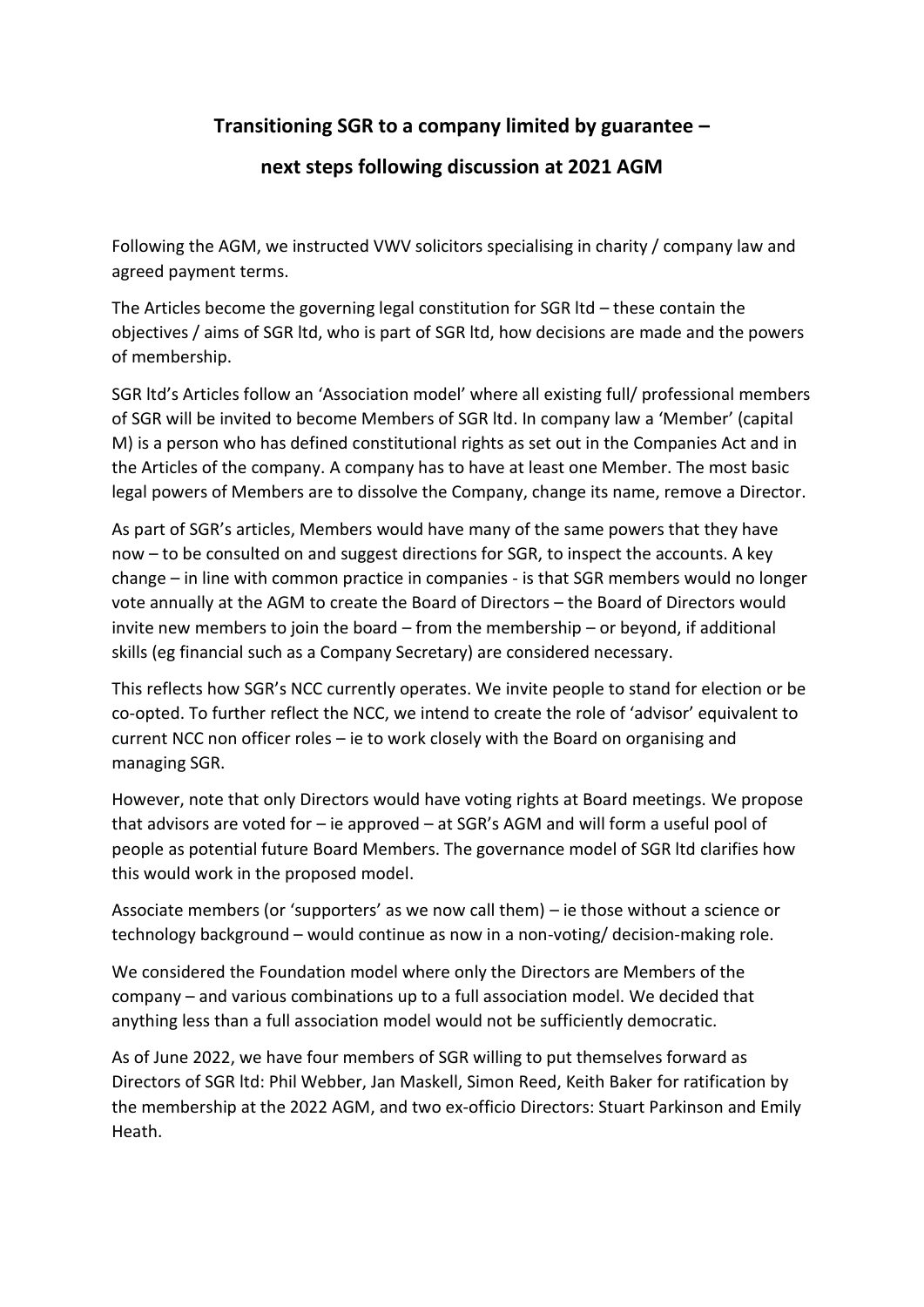## **Transitioning SGR to a company limited by guarantee –**

## **next steps following discussion at 2021 AGM**

Following the AGM, we instructed VWV solicitors specialising in charity / company law and agreed payment terms.

The Articles become the governing legal constitution for SGR ltd – these contain the objectives / aims of SGR ltd, who is part of SGR ltd, how decisions are made and the powers of membership.

SGR ltd's Articles follow an 'Association model' where all existing full/ professional members of SGR will be invited to become Members of SGR ltd. In company law a 'Member' (capital M) is a person who has defined constitutional rights as set out in the Companies Act and in the Articles of the company. A company has to have at least one Member. The most basic legal powers of Members are to dissolve the Company, change its name, remove a Director.

As part of SGR's articles, Members would have many of the same powers that they have now – to be consulted on and suggest directions for SGR, to inspect the accounts. A key change – in line with common practice in companies - is that SGR members would no longer vote annually at the AGM to create the Board of Directors – the Board of Directors would invite new members to join the board – from the membership – or beyond, if additional skills (eg financial such as a Company Secretary) are considered necessary.

This reflects how SGR's NCC currently operates. We invite people to stand for election or be co-opted. To further reflect the NCC, we intend to create the role of 'advisor' equivalent to current NCC non officer roles – ie to work closely with the Board on organising and managing SGR.

However, note that only Directors would have voting rights at Board meetings. We propose that advisors are voted for – ie approved – at SGR's AGM and will form a useful pool of people as potential future Board Members. The governance model of SGR ltd clarifies how this would work in the proposed model.

Associate members (or 'supporters' as we now call them) – ie those without a science or technology background – would continue as now in a non-voting/ decision-making role.

We considered the Foundation model where only the Directors are Members of the company – and various combinations up to a full association model. We decided that anything less than a full association model would not be sufficiently democratic.

As of June 2022, we have four members of SGR willing to put themselves forward as Directors of SGR ltd: Phil Webber, Jan Maskell, Simon Reed, Keith Baker for ratification by the membership at the 2022 AGM, and two ex-officio Directors: Stuart Parkinson and Emily Heath.